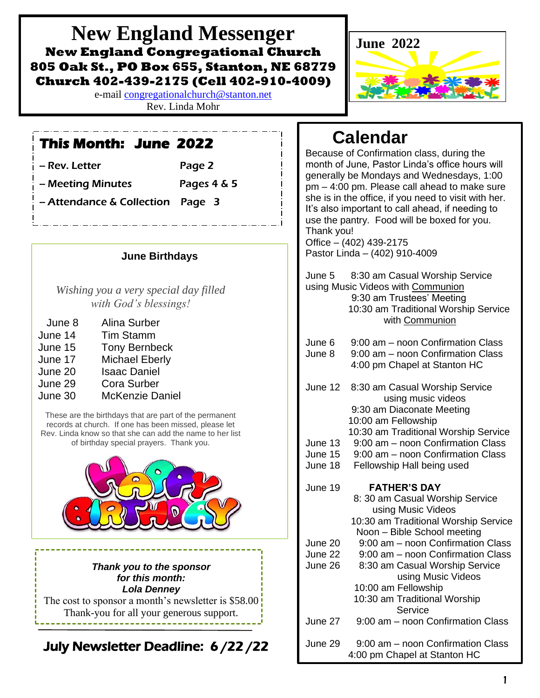**New England Messenger New England Congregational Church 805 Oak St., PO Box 655, Stanton, NE 68779 Church 402-439-2175 (Cell 402-910-4009)**

> e-mail [congregationalchurch@stanton.net](mailto:congregationalchurch@stanton.net) Rev. Linda Mohr

# **This Month: June 2022**

| – Rev. Letter     | Page 2      |
|-------------------|-------------|
| - Meeting Minutes | Pages 4 & 5 |

- Attendance & Collection Page 3

#### **June Birthdays**

*Wishing you a very special day filled with God's blessings!*

| June 8  | Alina Surber           |
|---------|------------------------|
| June 14 | <b>Tim Stamm</b>       |
| June 15 | <b>Tony Bernbeck</b>   |
| June 17 | <b>Michael Eberly</b>  |
| June 20 | <b>Isaac Daniel</b>    |
| June 29 | <b>Cora Surber</b>     |
| June 30 | <b>McKenzie Daniel</b> |

I

These are the birthdays that are part of the permanent records at church. If one has been missed, please let Rev. Linda know so that she can add the name to her list of birthday special prayers. Thank you.



#### *Thank you to the sponsor for this month: Lola Denney*

The cost to sponsor a month's newsletter is \$58.00 Thank-you for all your generous support.

July Newsletter Deadline: 6 /22 /22



# **Calendar**

Because of Confirmation class, during the month of June, Pastor Linda's office hours will generally be Mondays and Wednesdays, 1:00 pm – 4:00 pm. Please call ahead to make sure she is in the office, if you need to visit with her. It's also important to call ahead, if needing to use the pantry. Food will be boxed for you. Thank you! Office – (402) 439-2175

Pastor Linda – (402) 910-4009

June 5 8:30 am Casual Worship Service using Music Videos with Communion 9:30 am Trustees' Meeting 10:30 am Traditional Worship Service with Communion

- June 6 9:00 am noon Confirmation Class
- June 8 9:00 am noon Confirmation Class 4:00 pm Chapel at Stanton HC
- June 12 8:30 am Casual Worship Service using music videos 9:30 am Diaconate Meeting 10:00 am Fellowship 10:30 am Traditional Worship Service June 13 9:00 am – noon Confirmation Class June 15 9:00 am – noon Confirmation Class June 18 Fellowship Hall being used

June 19 **FATHER'S DAY**

| ט וויט  | AULLA 9 PAI                          |
|---------|--------------------------------------|
|         | 8: 30 am Casual Worship Service      |
|         | using Music Videos                   |
|         | 10:30 am Traditional Worship Service |
|         | Noon - Bible School meeting          |
| June 20 | 9:00 am – noon Confirmation Class    |
| June 22 | 9:00 am – noon Confirmation Class    |
| June 26 | 8:30 am Casual Worship Service       |
|         | using Music Videos                   |
|         | 10:00 am Fellowship                  |
|         | 10:30 am Traditional Worship         |
|         | Service                              |
| June 27 | 9:00 am – noon Confirmation Class    |
| June 29 | 9:00 am - noon Confirmation Class    |
|         | 4:00 pm Chapel at Stanton HC         |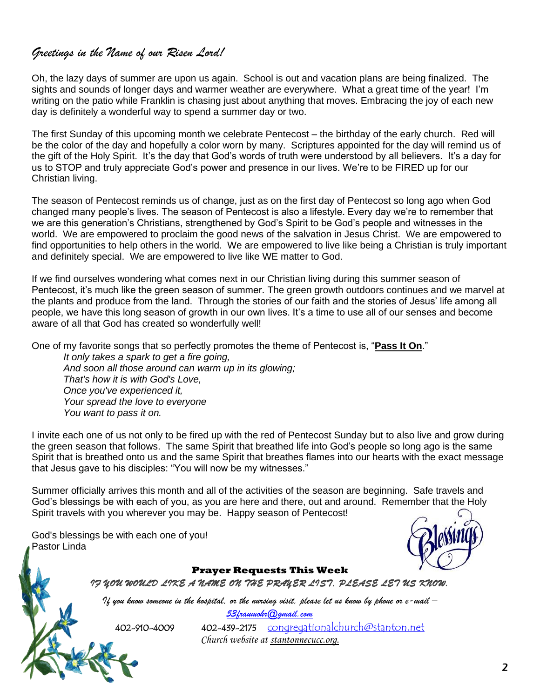### *Greetings in the Name of our Risen Lord!*

Oh, the lazy days of summer are upon us again. School is out and vacation plans are being finalized. The sights and sounds of longer days and warmer weather are everywhere. What a great time of the year! I'm writing on the patio while Franklin is chasing just about anything that moves. Embracing the joy of each new day is definitely a wonderful way to spend a summer day or two.

The first Sunday of this upcoming month we celebrate Pentecost – the birthday of the early church. Red will be the color of the day and hopefully a color worn by many. Scriptures appointed for the day will remind us of the gift of the Holy Spirit. It's the day that God's words of truth were understood by all believers. It's a day for us to STOP and truly appreciate God's power and presence in our lives. We're to be FIRED up for our Christian living.

The season of Pentecost reminds us of change, just as on the first day of Pentecost so long ago when God changed many people's lives. The season of Pentecost is also a lifestyle. Every day we're to remember that we are this generation's Christians, strengthened by God's Spirit to be God's people and witnesses in the world. We are empowered to proclaim the good news of the salvation in Jesus Christ. We are empowered to find opportunities to help others in the world. We are empowered to live like being a Christian is truly important and definitely special. We are empowered to live like WE matter to God.

If we find ourselves wondering what comes next in our Christian living during this summer season of Pentecost, it's much like the green season of summer. The green growth outdoors continues and we marvel at the plants and produce from the land. Through the stories of our faith and the stories of Jesus' life among all people, we have this long season of growth in our own lives. It's a time to use all of our senses and become aware of all that God has created so wonderfully well!

One of my favorite songs that so perfectly promotes the theme of Pentecost is, "**Pass It On**."

*It only takes a spark to get a fire going, And soon all those around can warm up in its glowing; That's how it is with God's Love, Once you've experienced it, Your spread the love to everyone You want to pass it on.*

I invite each one of us not only to be fired up with the red of Pentecost Sunday but to also live and grow during the green season that follows. The same Spirit that breathed life into God's people so long ago is the same Spirit that is breathed onto us and the same Spirit that breathes flames into our hearts with the exact message that Jesus gave to his disciples: "You will now be my witnesses."

Summer officially arrives this month and all of the activities of the season are beginning. Safe travels and God's blessings be with each of you, as you are here and there, out and around. Remember that the Holy Spirit travels with you wherever you may be. Happy season of Pentecost!

God's blessings be with each one of you! Pastor Linda



**Prayer Requests This Week** *IF YOU WOULD LIKE A NAME ON THE PRAYER LIST, PLEASE LET US KNOW.* 

*If you know someone in the hospital, or the nursing visit, please let us know by phone or e-mail – [53fraumohr@gmail.com](mailto:53fraumohr@gmail.com)*

402-910-4009 402-439-2175 [congregationalchurch@stanton.net](mailto:congregationalchurch@stanton.net) *Church website at stantonnecucc.org.*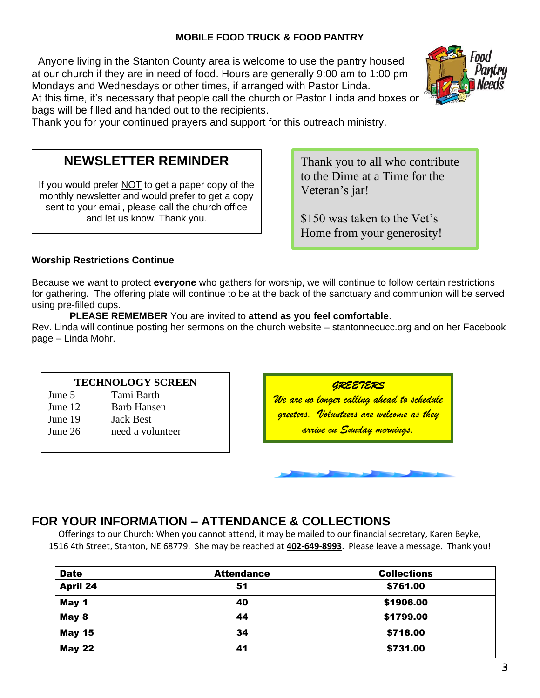#### **MOBILE FOOD TRUCK & FOOD PANTRY**

Anyone living in the Stanton County area is welcome to use the pantry housed at our church if they are in need of food. Hours are generally 9:00 am to 1:00 pm Mondays and Wednesdays or other times, if arranged with Pastor Linda. At this time, it's necessary that people call the church or Pastor Linda and boxes or bags will be filled and handed out to the recipients.



Thank you for your continued prayers and support for this outreach ministry.

# **NEWSLETTER REMINDER**

If you would prefer NOT to get a paper copy of the monthly newsletter and would prefer to get a copy sent to your email, please call the church office and let us know. Thank you.

Thank you to all who contribute to the Dime at a Time for the Veteran's jar!

\$150 was taken to the Vet's Home from your generosity!

#### **Worship Restrictions Continue**

Because we want to protect **everyone** who gathers for worship, we will continue to follow certain restrictions for gathering. The offering plate will continue to be at the back of the sanctuary and communion will be served using pre-filled cups.

 **PLEASE REMEMBER** You are invited to **attend as you feel comfortable**.

Rev. Linda will continue posting her sermons on the church website – stantonnecucc.org and on her Facebook page – Linda Mohr.

#### **TECHNOLOGY SCREEN**

June 5 Tami Barth

- June 12 Barb Hansen
- June 19 Jack Best

İ

June 26 need a volunteer

*GREETERS* 

*We are no longer calling ahead to schedule greeters. Volunteers are welcome as they arrive on Sunday mornings.*

### **FOR YOUR INFORMATION – ATTENDANCE & COLLECTIONS**

Offerings to our Church: When you cannot attend, it may be mailed to our financial secretary, Karen Beyke, 1516 4th Street, Stanton, NE 68779. She may be reached at **402-649-8993**. Please leave a message. Thank you!

| <b>Date</b>     | <b>Attendance</b> | <b>Collections</b> |
|-----------------|-------------------|--------------------|
| <b>April 24</b> | 51                | \$761.00           |
| May 1           | 40                | \$1906.00          |
| May 8           | 44                | \$1799.00          |
| <b>May 15</b>   | 34                | \$718.00           |
| <b>May 22</b>   | 41                | \$731.00           |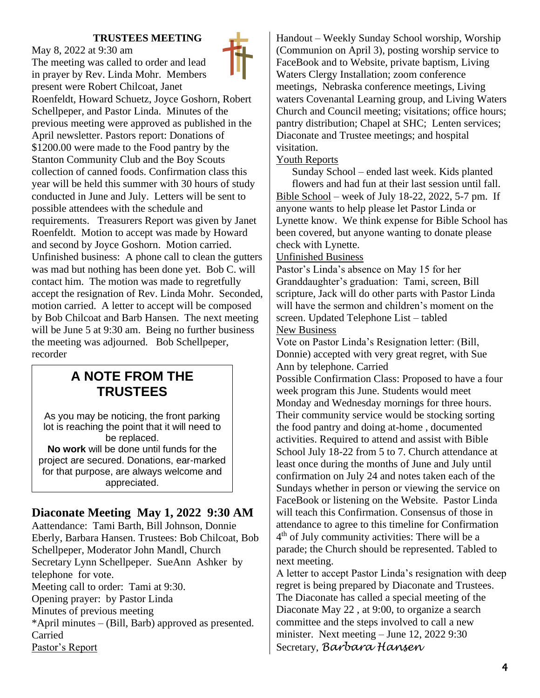#### **TRUSTEES MEETING**

May 8, 2022 at 9:30 am

The meeting was called to order and lead in prayer by Rev. Linda Mohr. Members present were Robert Chilcoat, Janet Roenfeldt, Howard Schuetz, Joyce Goshorn, Robert Schellpeper, and Pastor Linda. Minutes of the previous meeting were approved as published in the April newsletter. Pastors report: Donations of \$1200.00 were made to the Food pantry by the Stanton Community Club and the Boy Scouts collection of canned foods. Confirmation class this year will be held this summer with 30 hours of study conducted in June and July. Letters will be sent to possible attendees with the schedule and requirements. Treasurers Report was given by Janet Roenfeldt. Motion to accept was made by Howard and second by Joyce Goshorn. Motion carried. Unfinished business: A phone call to clean the gutters was mad but nothing has been done yet. Bob C. will contact him. The motion was made to regretfully accept the resignation of Rev. Linda Mohr. Seconded, motion carried. A letter to accept will be composed by Bob Chilcoat and Barb Hansen. The next meeting will be June 5 at 9:30 am. Being no further business the meeting was adjourned. Bob Schellpeper, recorder

# **A NOTE FROM THE TRUSTEES**

As you may be noticing, the front parking lot is reaching the point that it will need to be replaced. **No work** will be done until funds for the project are secured. Donations, ear-marked for that purpose, are always welcome and appreciated.

# **Diaconate Meeting May 1, 2022 9:30 AM**

Aattendance: Tami Barth, Bill Johnson, Donnie Eberly, Barbara Hansen. Trustees: Bob Chilcoat, Bob Schellpeper, Moderator John Mandl, Church Secretary Lynn Schellpeper. SueAnn Ashker by telephone for vote. Meeting call to order: Tami at 9:30. Opening prayer: by Pastor Linda Minutes of previous meeting \*April minutes – (Bill, Barb) approved as presented. Carried Pastor's Report

Handout – Weekly Sunday School worship, Worship (Communion on April 3), posting worship service to FaceBook and to Website, private baptism, Living Waters Clergy Installation; zoom conference meetings, Nebraska conference meetings, Living waters Covenantal Learning group, and Living Waters Church and Council meeting; visitations; office hours; pantry distribution; Chapel at SHC; Lenten services; Diaconate and Trustee meetings; and hospital visitation.

#### Youth Reports

Sunday School – ended last week. Kids planted flowers and had fun at their last session until fall. Bible School – week of July 18-22, 2022, 5-7 pm. If anyone wants to help please let Pastor Linda or Lynette know. We think expense for Bible School has been covered, but anyone wanting to donate please check with Lynette.

#### Unfinished Business

Pastor's Linda's absence on May 15 for her Granddaughter's graduation: Tami, screen, Bill scripture, Jack will do other parts with Pastor Linda will have the sermon and children's moment on the screen. Updated Telephone List – tabled New Business

Vote on Pastor Linda's Resignation letter: (Bill, Donnie) accepted with very great regret, with Sue Ann by telephone. Carried

Possible Confirmation Class: Proposed to have a four week program this June. Students would meet Monday and Wednesday mornings for three hours. Their community service would be stocking sorting the food pantry and doing at-home , documented activities. Required to attend and assist with Bible School July 18-22 from 5 to 7. Church attendance at least once during the months of June and July until confirmation on July 24 and notes taken each of the Sundays whether in person or viewing the service on FaceBook or listening on the Website. Pastor Linda will teach this Confirmation. Consensus of those in attendance to agree to this timeline for Confirmation 4<sup>th</sup> of July community activities: There will be a parade; the Church should be represented. Tabled to next meeting.

A letter to accept Pastor Linda's resignation with deep regret is being prepared by Diaconate and Trustees. The Diaconate has called a special meeting of the Diaconate May 22 , at 9:00, to organize a search committee and the steps involved to call a new minister. Next meeting – June 12, 2022 9:30 Secretary, *Barbara Hansen*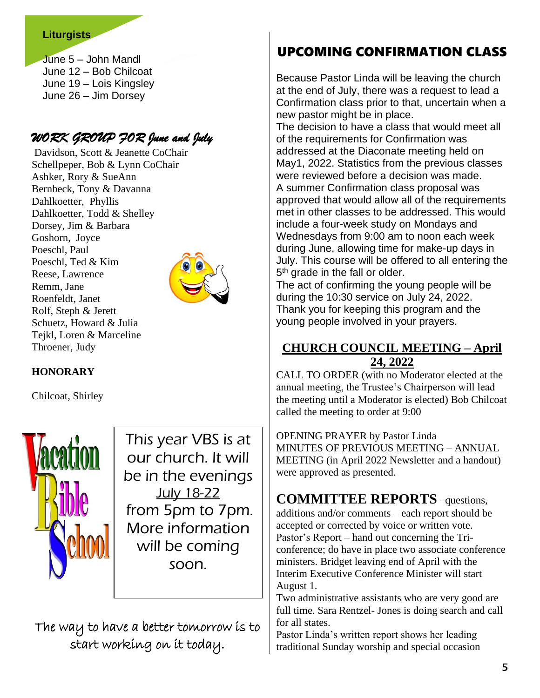#### **Liturgists**

June 5 – John Mandl June 12 – Bob Chilcoat June 19 – Lois Kingsley June 26 – Jim Dorsey

# *WORK GROUP FOR June and July*

Davidson, Scott & Jeanette CoChair Schellpeper, Bob & Lynn CoChair Ashker, Rory & SueAnn Bernbeck, Tony & Davanna Dahlkoetter, Phyllis Dahlkoetter, Todd & Shelley Dorsey, Jim & Barbara Goshorn, Joyce Poeschl, Paul Poeschl, Ted & Kim Reese, Lawrence Remm, Jane Roenfeldt, Janet Rolf, Steph & Jerett Schuetz, Howard & Julia Tejkl, Loren & Marceline Throener, Judy



### **HONORARY**

Chilcoat, Shirley



This year VBS is at our church. It will be in the evenings July 18-22 from 5pm to 7pm. More information will be coming soon.

The way to have a better tomorrow is to start working on it today.

# UPCOMING CONFIRMATION CLASS

Because Pastor Linda will be leaving the church at the end of July, there was a request to lead a Confirmation class prior to that, uncertain when a new pastor might be in place.

The decision to have a class that would meet all of the requirements for Confirmation was addressed at the Diaconate meeting held on May1, 2022. Statistics from the previous classes were reviewed before a decision was made. A summer Confirmation class proposal was approved that would allow all of the requirements met in other classes to be addressed. This would include a four-week study on Mondays and Wednesdays from 9:00 am to noon each week during June, allowing time for make-up days in July. This course will be offered to all entering the 5<sup>th</sup> grade in the fall or older.

The act of confirming the young people will be during the 10:30 service on July 24, 2022. Thank you for keeping this program and the young people involved in your prayers.

### **CHURCH COUNCIL MEETING – April 24, 2022**

CALL TO ORDER (with no Moderator elected at the annual meeting, the Trustee's Chairperson will lead the meeting until a Moderator is elected) Bob Chilcoat called the meeting to order at 9:00

OPENING PRAYER by Pastor Linda MINUTES OF PREVIOUS MEETING – ANNUAL MEETING (in April 2022 Newsletter and a handout) were approved as presented.

# **COMMITTEE REPORTS** –questions,

additions and/or comments – each report should be accepted or corrected by voice or written vote. Pastor's Report – hand out concerning the Triconference; do have in place two associate conference ministers. Bridget leaving end of April with the Interim Executive Conference Minister will start August 1.

Two administrative assistants who are very good are full time. Sara Rentzel- Jones is doing search and call for all states.

Pastor Linda's written report shows her leading traditional Sunday worship and special occasion